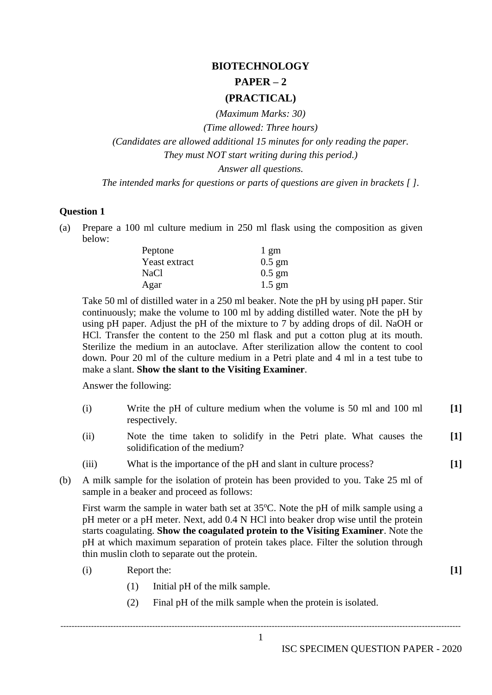## **BIOTECHNOLOGY PAPER – 2 (PRACTICAL)**

*(Maximum Marks: 30)*

*(Time allowed: Three hours)*

*(Candidates are allowed additional 15 minutes for only reading the paper. They must NOT start writing during this period.) Answer all questions.*

*The intended marks for questions or parts of questions are given in brackets [ ].*

## **Question 1**

(a) Prepare a 100 ml culture medium in 250 ml flask using the composition as given below:

| Peptone       | $1 \text{ gm}$   |
|---------------|------------------|
| Yeast extract | $0.5 \text{ gm}$ |
| NaCl          | $0.5 \text{ gm}$ |
| Agar          | $1.5 \text{ gm}$ |

Take 50 ml of distilled water in a 250 ml beaker. Note the pH by using pH paper. Stir continuously; make the volume to 100 ml by adding distilled water. Note the pH by using pH paper. Adjust the pH of the mixture to 7 by adding drops of dil. NaOH or HCl. Transfer the content to the 250 ml flask and put a cotton plug at its mouth. Sterilize the medium in an autoclave. After sterilization allow the content to cool down. Pour 20 ml of the culture medium in a Petri plate and 4 ml in a test tube to make a slant. **Show the slant to the Visiting Examiner**.

Answer the following:

- (i) Write the pH of culture medium when the volume is 50 ml and 100 ml respectively. **[1]**
- (ii) Note the time taken to solidify in the Petri plate. What causes the solidification of the medium? **[1]**
- (iii) What is the importance of the pH and slant in culture process? **[1]**
- (b) A milk sample for the isolation of protein has been provided to you. Take 25 ml of sample in a beaker and proceed as follows:

First warm the sample in water bath set at  $35^{\circ}$ C. Note the pH of milk sample using a pH meter or a pH meter. Next, add 0.4 N HCl into beaker drop wise until the protein starts coagulating. **Show the coagulated protein to the Visiting Examiner**. Note the pH at which maximum separation of protein takes place. Filter the solution through thin muslin cloth to separate out the protein.

- (i) Report the: **[1]**
	- (1) Initial pH of the milk sample.
	- (2) Final pH of the milk sample when the protein is isolated.